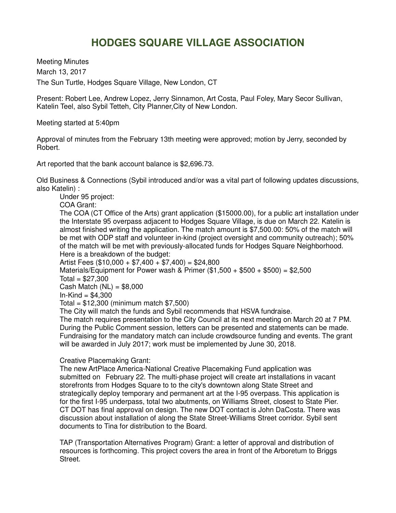## **HODGES SQUARE VILLAGE ASSOCIATION**

Meeting Minutes March 13, 2017 The Sun Turtle, Hodges Square Village, New London, CT

Present: Robert Lee, Andrew Lopez, Jerry Sinnamon, Art Costa, Paul Foley, Mary Secor Sullivan, Katelin Teel, also Sybil Tetteh, City Planner,City of New London.

Meeting started at 5:40pm

Approval of minutes from the February 13th meeting were approved; motion by Jerry, seconded by Robert.

Art reported that the bank account balance is \$2,696.73.

Old Business & Connections (Sybil introduced and/or was a vital part of following updates discussions, also Katelin) :

Under 95 project:

COA Grant:

The COA (CT Office of the Arts) grant application (\$15000.00), for a public art installation under the Interstate 95 overpass adjacent to Hodges Square Village, is due on March 22. Katelin is almost finished writing the application. The match amount is \$7,500.00: 50% of the match will be met with ODP staff and volunteer in-kind (project oversight and community outreach); 50% of the match will be met with previously-allocated funds for Hodges Square Neighborhood. Here is a breakdown of the budget:

Artist Fees ( $$10,000 + $7,400 + $7,400$ ) = \$24,800 Materials/Equipment for Power wash & Primer  $(\$1,500 + \$500 + \$500) = \$2,500$  $Total = $27,300$ Cash Match  $(NL) = $8,000$  $In-Kind = $4,300$ Total = \$12,300 (minimum match \$7,500) The City will match the funds and Sybil recommends that HSVA fundraise.

The match requires presentation to the City Council at its next meeting on March 20 at 7 PM. During the Public Comment session, letters can be presented and statements can be made. Fundraising for the mandatory match can include crowdsource funding and events. The grant will be awarded in July 2017; work must be implemented by June 30, 2018.

Creative Placemaking Grant:

The new ArtPlace America-National Creative Placemaking Fund application was submitted on February 22. The multi-phase project will create art installations in vacant storefronts from Hodges Square to to the city's downtown along State Street and strategically deploy temporary and permanent art at the I-95 overpass. This application is for the first I-95 underpass, total two abutments, on Williams Street, closest to State Pier. CT DOT has final approval on design. The new DOT contact is John DaCosta. There was discussion about installation of along the State Street-Williams Street corridor. Sybil sent documents to Tina for distribution to the Board.

TAP (Transportation Alternatives Program) Grant: a letter of approval and distribution of resources is forthcoming. This project covers the area in front of the Arboretum to Briggs Street.